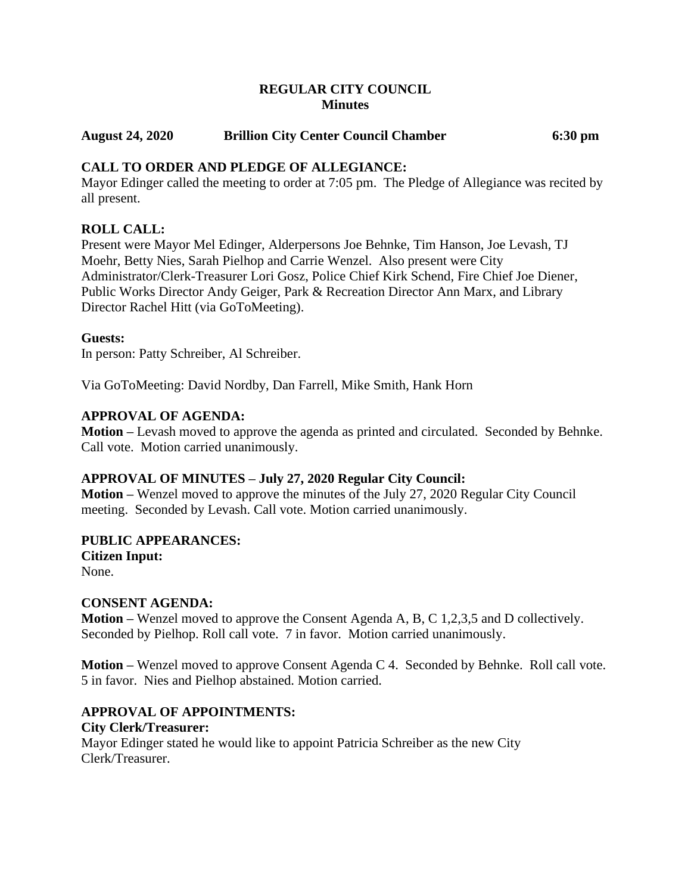#### **REGULAR CITY COUNCIL Minutes**

#### **August 24, 2020 Brillion City Center Council Chamber 6:30 pm**

#### **CALL TO ORDER AND PLEDGE OF ALLEGIANCE:**

Mayor Edinger called the meeting to order at 7:05 pm. The Pledge of Allegiance was recited by all present.

#### **ROLL CALL:**

Present were Mayor Mel Edinger, Alderpersons Joe Behnke, Tim Hanson, Joe Levash, TJ Moehr, Betty Nies, Sarah Pielhop and Carrie Wenzel. Also present were City Administrator/Clerk-Treasurer Lori Gosz, Police Chief Kirk Schend, Fire Chief Joe Diener, Public Works Director Andy Geiger, Park & Recreation Director Ann Marx, and Library Director Rachel Hitt (via GoToMeeting).

#### **Guests:**

In person: Patty Schreiber, Al Schreiber.

Via GoToMeeting: David Nordby, Dan Farrell, Mike Smith, Hank Horn

#### **APPROVAL OF AGENDA:**

**Motion –** Levash moved to approve the agenda as printed and circulated. Seconded by Behnke. Call vote. Motion carried unanimously.

#### **APPROVAL OF MINUTES – July 27, 2020 Regular City Council:**

**Motion –** Wenzel moved to approve the minutes of the July 27, 2020 Regular City Council meeting. Seconded by Levash. Call vote. Motion carried unanimously.

#### **PUBLIC APPEARANCES:**

**Citizen Input:** None.

#### **CONSENT AGENDA:**

**Motion –** Wenzel moved to approve the Consent Agenda A, B, C 1,2,3,5 and D collectively. Seconded by Pielhop. Roll call vote. 7 in favor. Motion carried unanimously.

**Motion –** Wenzel moved to approve Consent Agenda C 4. Seconded by Behnke. Roll call vote. 5 in favor. Nies and Pielhop abstained. Motion carried.

#### **APPROVAL OF APPOINTMENTS:**

#### **City Clerk/Treasurer:**

Mayor Edinger stated he would like to appoint Patricia Schreiber as the new City Clerk/Treasurer.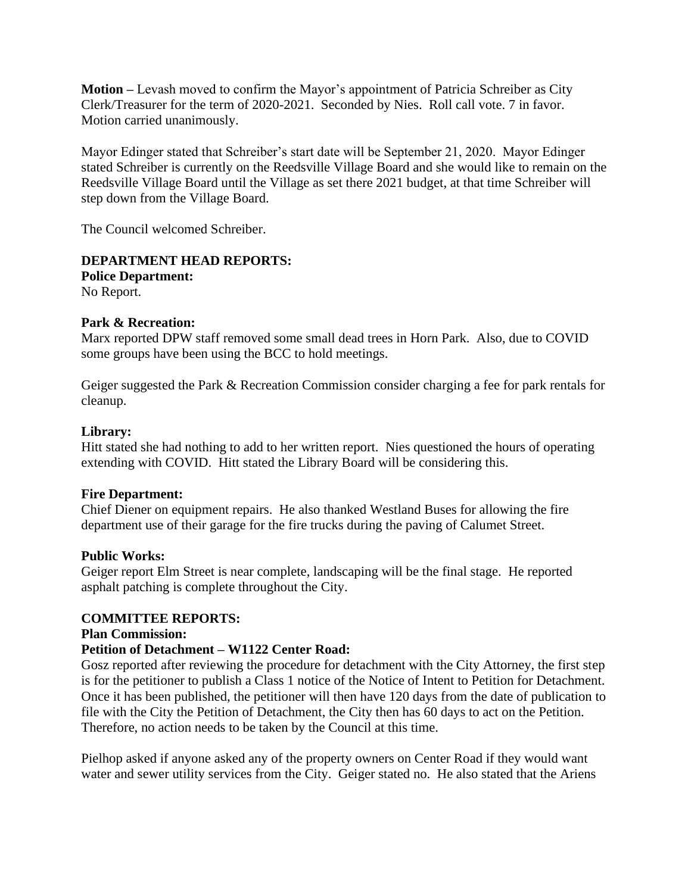**Motion –** Levash moved to confirm the Mayor's appointment of Patricia Schreiber as City Clerk/Treasurer for the term of 2020-2021. Seconded by Nies. Roll call vote. 7 in favor. Motion carried unanimously.

Mayor Edinger stated that Schreiber's start date will be September 21, 2020. Mayor Edinger stated Schreiber is currently on the Reedsville Village Board and she would like to remain on the Reedsville Village Board until the Village as set there 2021 budget, at that time Schreiber will step down from the Village Board.

The Council welcomed Schreiber.

# **DEPARTMENT HEAD REPORTS:**

**Police Department:** No Report.

#### **Park & Recreation:**

Marx reported DPW staff removed some small dead trees in Horn Park. Also, due to COVID some groups have been using the BCC to hold meetings.

Geiger suggested the Park & Recreation Commission consider charging a fee for park rentals for cleanup.

#### **Library:**

Hitt stated she had nothing to add to her written report. Nies questioned the hours of operating extending with COVID. Hitt stated the Library Board will be considering this.

#### **Fire Department:**

Chief Diener on equipment repairs. He also thanked Westland Buses for allowing the fire department use of their garage for the fire trucks during the paving of Calumet Street.

#### **Public Works:**

Geiger report Elm Street is near complete, landscaping will be the final stage. He reported asphalt patching is complete throughout the City.

#### **COMMITTEE REPORTS:**

#### **Plan Commission:**

#### **Petition of Detachment – W1122 Center Road:**

Gosz reported after reviewing the procedure for detachment with the City Attorney, the first step is for the petitioner to publish a Class 1 notice of the Notice of Intent to Petition for Detachment. Once it has been published, the petitioner will then have 120 days from the date of publication to file with the City the Petition of Detachment, the City then has 60 days to act on the Petition. Therefore, no action needs to be taken by the Council at this time.

Pielhop asked if anyone asked any of the property owners on Center Road if they would want water and sewer utility services from the City. Geiger stated no. He also stated that the Ariens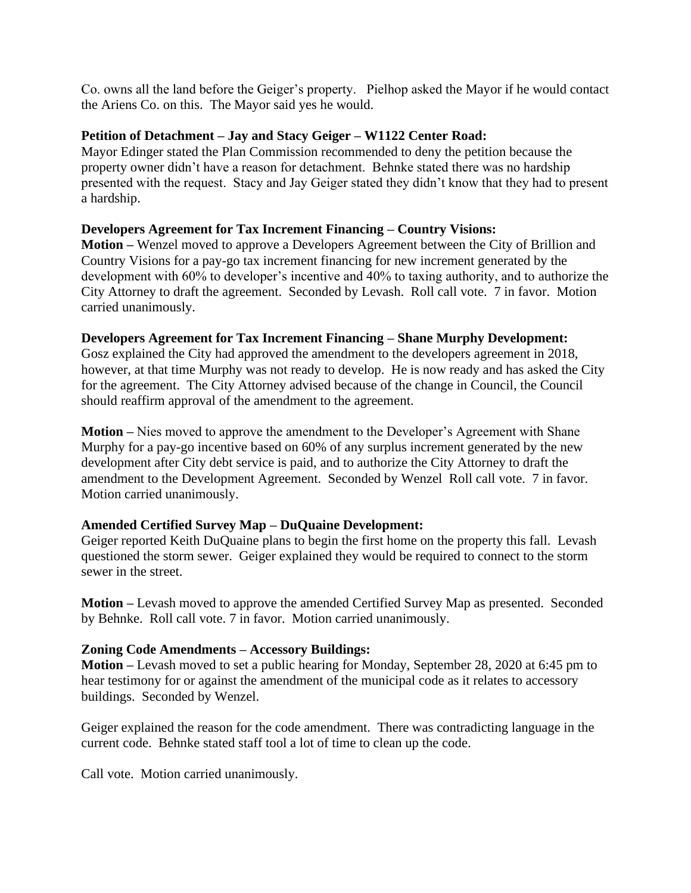Co. owns all the land before the Geiger's property. Pielhop asked the Mayor if he would contact the Ariens Co. on this. The Mayor said yes he would.

#### **Petition of Detachment – Jay and Stacy Geiger – W1122 Center Road:**

Mayor Edinger stated the Plan Commission recommended to deny the petition because the property owner didn't have a reason for detachment. Behnke stated there was no hardship presented with the request. Stacy and Jay Geiger stated they didn't know that they had to present a hardship.

#### **Developers Agreement for Tax Increment Financing – Country Visions:**

**Motion –** Wenzel moved to approve a Developers Agreement between the City of Brillion and Country Visions for a pay-go tax increment financing for new increment generated by the development with 60% to developer's incentive and 40% to taxing authority, and to authorize the City Attorney to draft the agreement. Seconded by Levash. Roll call vote. 7 in favor. Motion carried unanimously.

#### **Developers Agreement for Tax Increment Financing – Shane Murphy Development:**

Gosz explained the City had approved the amendment to the developers agreement in 2018, however, at that time Murphy was not ready to develop. He is now ready and has asked the City for the agreement. The City Attorney advised because of the change in Council, the Council should reaffirm approval of the amendment to the agreement.

**Motion –** Nies moved to approve the amendment to the Developer's Agreement with Shane Murphy for a pay-go incentive based on 60% of any surplus increment generated by the new development after City debt service is paid, and to authorize the City Attorney to draft the amendment to the Development Agreement. Seconded by Wenzel Roll call vote. 7 in favor. Motion carried unanimously.

# **Amended Certified Survey Map – DuQuaine Development:**

Geiger reported Keith DuQuaine plans to begin the first home on the property this fall. Levash questioned the storm sewer. Geiger explained they would be required to connect to the storm sewer in the street.

**Motion –** Levash moved to approve the amended Certified Survey Map as presented. Seconded by Behnke. Roll call vote. 7 in favor. Motion carried unanimously.

# **Zoning Code Amendments – Accessory Buildings:**

**Motion –** Levash moved to set a public hearing for Monday, September 28, 2020 at 6:45 pm to hear testimony for or against the amendment of the municipal code as it relates to accessory buildings. Seconded by Wenzel.

Geiger explained the reason for the code amendment. There was contradicting language in the current code. Behnke stated staff tool a lot of time to clean up the code.

Call vote. Motion carried unanimously.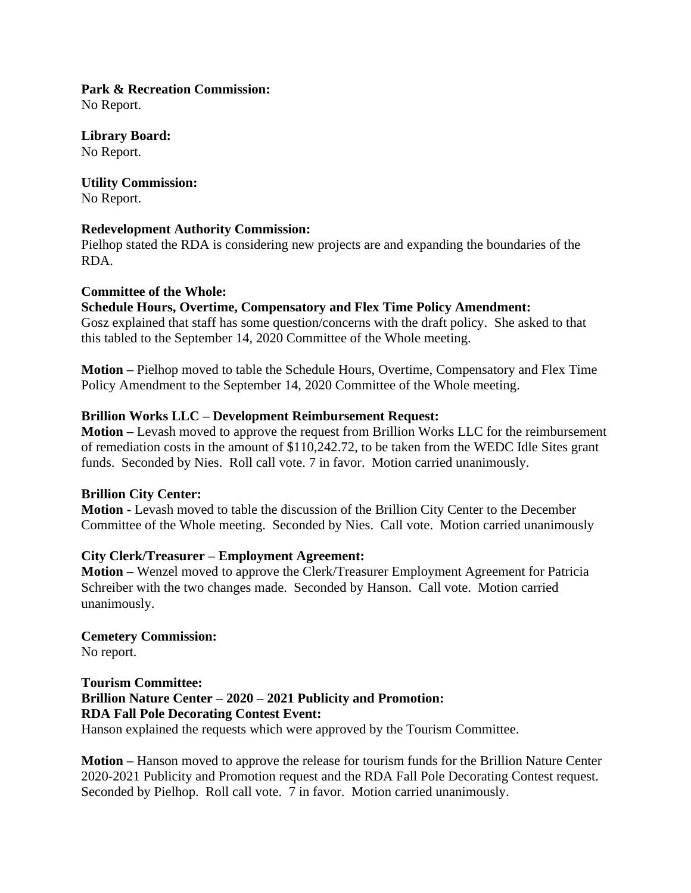# **Park & Recreation Commission:**

No Report.

**Library Board:** No Report.

**Utility Commission:** No Report.

# **Redevelopment Authority Commission:**

Pielhop stated the RDA is considering new projects are and expanding the boundaries of the RDA.

#### **Committee of the Whole:**

#### **Schedule Hours, Overtime, Compensatory and Flex Time Policy Amendment:**

Gosz explained that staff has some question/concerns with the draft policy. She asked to that this tabled to the September 14, 2020 Committee of the Whole meeting.

**Motion –** Pielhop moved to table the Schedule Hours, Overtime, Compensatory and Flex Time Policy Amendment to the September 14, 2020 Committee of the Whole meeting.

#### **Brillion Works LLC – Development Reimbursement Request:**

**Motion –** Levash moved to approve the request from Brillion Works LLC for the reimbursement of remediation costs in the amount of \$110,242.72, to be taken from the WEDC Idle Sites grant funds. Seconded by Nies. Roll call vote. 7 in favor. Motion carried unanimously.

# **Brillion City Center:**

**Motion -** Levash moved to table the discussion of the Brillion City Center to the December Committee of the Whole meeting. Seconded by Nies. Call vote. Motion carried unanimously

# **City Clerk/Treasurer – Employment Agreement:**

**Motion –** Wenzel moved to approve the Clerk/Treasurer Employment Agreement for Patricia Schreiber with the two changes made. Seconded by Hanson. Call vote. Motion carried unanimously.

# **Cemetery Commission:**

No report.

**Tourism Committee: Brillion Nature Center – 2020 – 2021 Publicity and Promotion: RDA Fall Pole Decorating Contest Event:**

Hanson explained the requests which were approved by the Tourism Committee.

**Motion –** Hanson moved to approve the release for tourism funds for the Brillion Nature Center 2020-2021 Publicity and Promotion request and the RDA Fall Pole Decorating Contest request. Seconded by Pielhop. Roll call vote. 7 in favor. Motion carried unanimously.